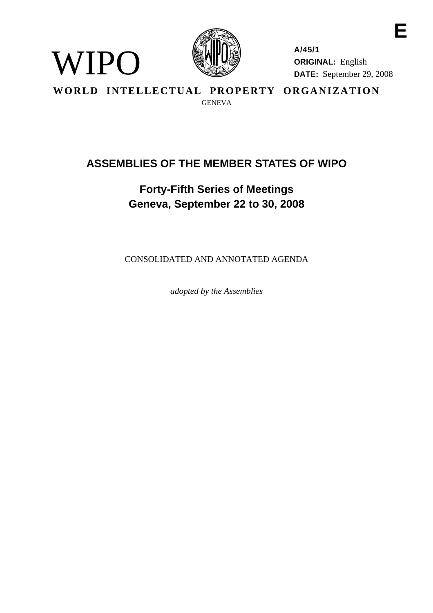

WIPO

**A/45/1 ORIGINAL:** English **DATE:** September 29, 2008

**E** 

**WORLD INTELLECTUAL PROPERTY ORGANIZATION**  GENEVA

## **ASSEMBLIES OF THE MEMBER STATES OF WIPO**

# **Forty-Fifth Series of Meetings Geneva, September 22 to 30, 2008**

CONSOLIDATED AND ANNOTATED AGENDA

*adopted by the Assemblies*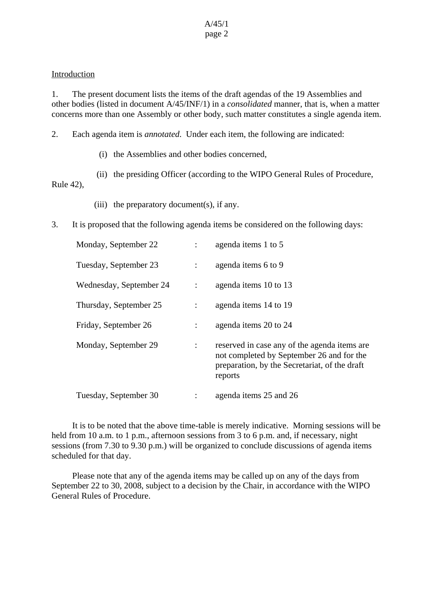## Introduction

1. The present document lists the items of the draft agendas of the 19 Assemblies and other bodies (listed in document A/45/INF/1) in a *consolidated* manner, that is, when a matter concerns more than one Assembly or other body, such matter constitutes a single agenda item.

2. Each agenda item is *annotated*. Under each item, the following are indicated:

(i) the Assemblies and other bodies concerned,

(ii) the presiding Officer (according to the WIPO General Rules of Procedure,

Rule 42),

- (iii) the preparatory document(s), if any.
- 3. It is proposed that the following agenda items be considered on the following days:

| Monday, September 22    |                      | agenda items 1 to 5                                                                                                                                   |
|-------------------------|----------------------|-------------------------------------------------------------------------------------------------------------------------------------------------------|
| Tuesday, September 23   | $\ddot{\cdot}$       | agenda items 6 to 9                                                                                                                                   |
| Wednesday, September 24 | $\ddot{\phantom{a}}$ | agenda items 10 to 13                                                                                                                                 |
| Thursday, September 25  |                      | agenda items 14 to 19                                                                                                                                 |
| Friday, September 26    |                      | agenda items 20 to 24                                                                                                                                 |
| Monday, September 29    | $\ddot{\cdot}$       | reserved in case any of the agenda items are<br>not completed by September 26 and for the<br>preparation, by the Secretariat, of the draft<br>reports |
| Tuesday, September 30   |                      | agenda items 25 and 26                                                                                                                                |

It is to be noted that the above time-table is merely indicative. Morning sessions will be held from 10 a.m. to 1 p.m., afternoon sessions from 3 to 6 p.m. and, if necessary, night sessions (from 7.30 to 9.30 p.m.) will be organized to conclude discussions of agenda items scheduled for that day.

Please note that any of the agenda items may be called up on any of the days from September 22 to 30, 2008, subject to a decision by the Chair, in accordance with the WIPO General Rules of Procedure.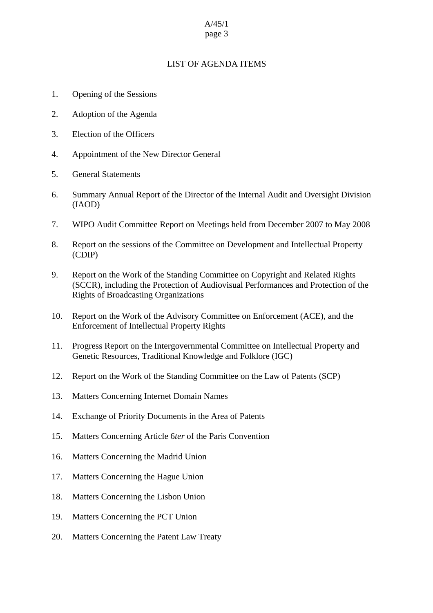## LIST OF AGENDA ITEMS

- 1. Opening of the Sessions
- 2. Adoption of the Agenda
- 3. Election of the Officers
- 4. Appointment of the New Director General
- 5. General Statements
- 6. Summary Annual Report of the Director of the Internal Audit and Oversight Division (IAOD)
- 7. WIPO Audit Committee Report on Meetings held from December 2007 to May 2008
- 8. Report on the sessions of the Committee on Development and Intellectual Property (CDIP)
- 9. Report on the Work of the Standing Committee on Copyright and Related Rights (SCCR), including the Protection of Audiovisual Performances and Protection of the Rights of Broadcasting Organizations
- 10. Report on the Work of the Advisory Committee on Enforcement (ACE), and the Enforcement of Intellectual Property Rights
- 11. Progress Report on the Intergovernmental Committee on Intellectual Property and Genetic Resources, Traditional Knowledge and Folklore (IGC)
- 12. Report on the Work of the Standing Committee on the Law of Patents (SCP)
- 13. Matters Concerning Internet Domain Names
- 14. Exchange of Priority Documents in the Area of Patents
- 15. Matters Concerning Article 6*ter* of the Paris Convention
- 16. Matters Concerning the Madrid Union
- 17. Matters Concerning the Hague Union
- 18. Matters Concerning the Lisbon Union
- 19. Matters Concerning the PCT Union
- 20. Matters Concerning the Patent Law Treaty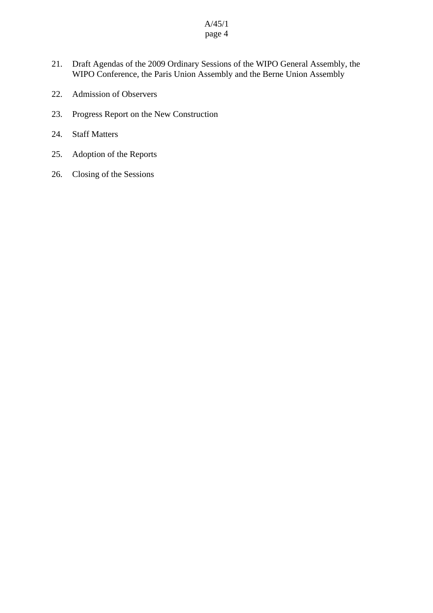- 21. Draft Agendas of the 2009 Ordinary Sessions of the WIPO General Assembly, the WIPO Conference, the Paris Union Assembly and the Berne Union Assembly
- 22. Admission of Observers
- 23. Progress Report on the New Construction
- 24. Staff Matters
- 25. Adoption of the Reports
- 26. Closing of the Sessions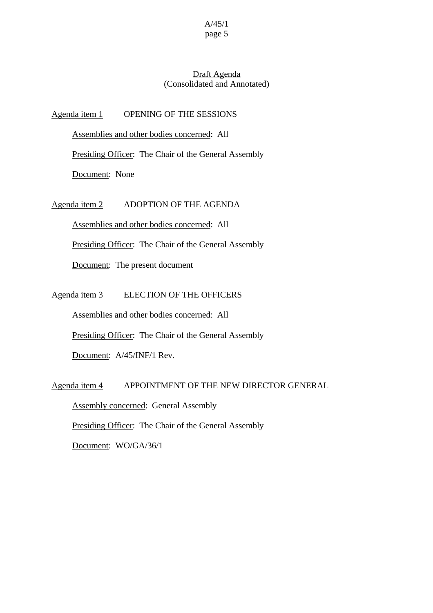## Draft Agenda (Consolidated and Annotated)

#### Agenda item 1 OPENING OF THE SESSIONS

Assemblies and other bodies concerned: All

Presiding Officer: The Chair of the General Assembly

Document: None

Agenda item 2 ADOPTION OF THE AGENDA

Assemblies and other bodies concerned: All

Presiding Officer: The Chair of the General Assembly

Document: The present document

Agenda item 3 ELECTION OF THE OFFICERS

Assemblies and other bodies concerned: All

Presiding Officer: The Chair of the General Assembly

Document: A/45/INF/1 Rev.

Agenda item 4 APPOINTMENT OF THE NEW DIRECTOR GENERAL

Assembly concerned: General Assembly

Presiding Officer: The Chair of the General Assembly

Document: WO/GA/36/1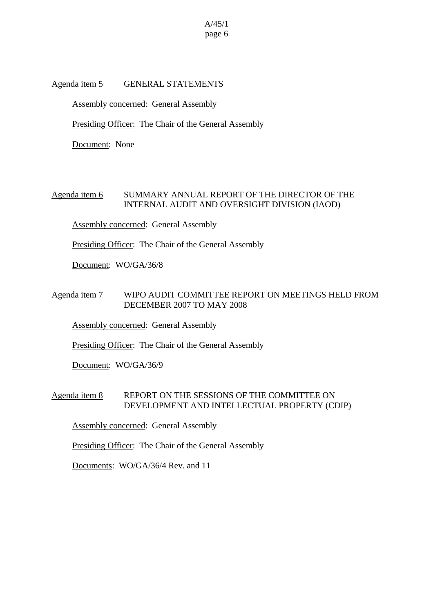#### Agenda item 5 GENERAL STATEMENTS

Assembly concerned: General Assembly

Presiding Officer: The Chair of the General Assembly

Document: None

## Agenda item 6 SUMMARY ANNUAL REPORT OF THE DIRECTOR OF THE INTERNAL AUDIT AND OVERSIGHT DIVISION (IAOD)

Assembly concerned: General Assembly

Presiding Officer: The Chair of the General Assembly

Document: WO/GA/36/8

## Agenda item 7 WIPO AUDIT COMMITTEE REPORT ON MEETINGS HELD FROM DECEMBER 2007 TO MAY 2008

Assembly concerned: General Assembly

Presiding Officer: The Chair of the General Assembly

Document: WO/GA/36/9

## Agenda item 8 REPORT ON THE SESSIONS OF THE COMMITTEE ON DEVELOPMENT AND INTELLECTUAL PROPERTY (CDIP)

Assembly concerned: General Assembly

Presiding Officer: The Chair of the General Assembly

Documents: WO/GA/36/4 Rev. and 11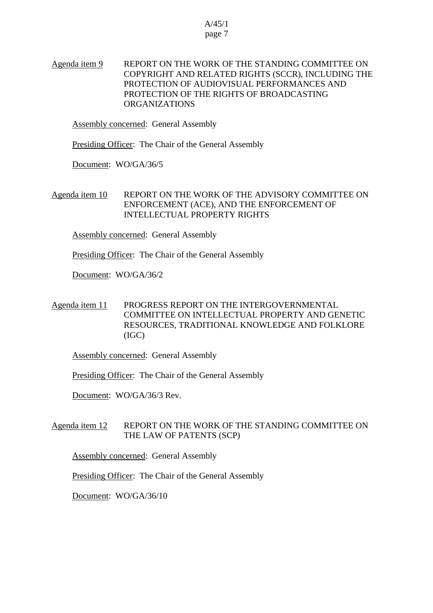## Agenda item 9 REPORT ON THE WORK OF THE STANDING COMMITTEE ON COPYRIGHT AND RELATED RIGHTS (SCCR), INCLUDING THE PROTECTION OF AUDIOVISUAL PERFORMANCES AND PROTECTION OF THE RIGHTS OF BROADCASTING ORGANIZATIONS

Assembly concerned: General Assembly

Presiding Officer: The Chair of the General Assembly

Document: WO/GA/36/5

#### Agenda item 10 REPORT ON THE WORK OF THE ADVISORY COMMITTEE ON ENFORCEMENT (ACE), AND THE ENFORCEMENT OF INTELLECTUAL PROPERTY RIGHTS

Assembly concerned: General Assembly

Presiding Officer: The Chair of the General Assembly

Document: WO/GA/36/2

## Agenda item 11 PROGRESS REPORT ON THE INTERGOVERNMENTAL COMMITTEE ON INTELLECTUAL PROPERTY AND GENETIC RESOURCES, TRADITIONAL KNOWLEDGE AND FOLKLORE (IGC)

Assembly concerned: General Assembly

Presiding Officer: The Chair of the General Assembly

Document: WO/GA/36/3 Rev.

#### Agenda item 12 REPORT ON THE WORK OF THE STANDING COMMITTEE ON THE LAW OF PATENTS (SCP)

Assembly concerned: General Assembly

Presiding Officer: The Chair of the General Assembly

Document: WO/GA/36/10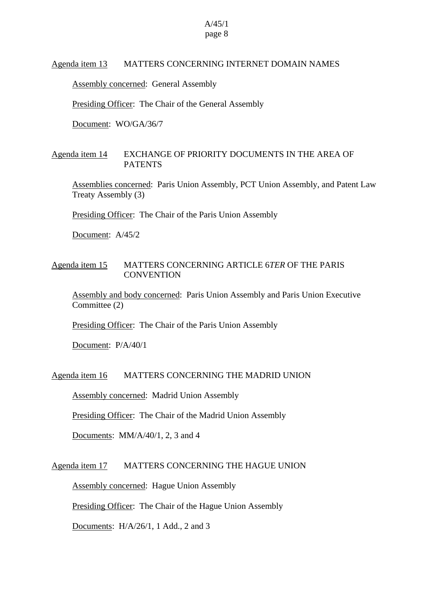#### Agenda item 13 MATTERS CONCERNING INTERNET DOMAIN NAMES

Assembly concerned: General Assembly

Presiding Officer: The Chair of the General Assembly

Document: WO/GA/36/7

#### Agenda item 14 EXCHANGE OF PRIORITY DOCUMENTS IN THE AREA OF PATENTS

Assemblies concerned: Paris Union Assembly, PCT Union Assembly, and Patent Law Treaty Assembly (3)

Presiding Officer: The Chair of the Paris Union Assembly

Document: A/45/2

## Agenda item 15 MATTERS CONCERNING ARTICLE 6*TER* OF THE PARIS **CONVENTION**

Assembly and body concerned: Paris Union Assembly and Paris Union Executive Committee (2)

Presiding Officer: The Chair of the Paris Union Assembly

Document: P/A/40/1

## Agenda item 16 MATTERS CONCERNING THE MADRID UNION

Assembly concerned: Madrid Union Assembly

Presiding Officer: The Chair of the Madrid Union Assembly

Documents: MM/A/40/1, 2, 3 and 4

## Agenda item 17 MATTERS CONCERNING THE HAGUE UNION

Assembly concerned: Hague Union Assembly

Presiding Officer: The Chair of the Hague Union Assembly

Documents: H/A/26/1, 1 Add., 2 and 3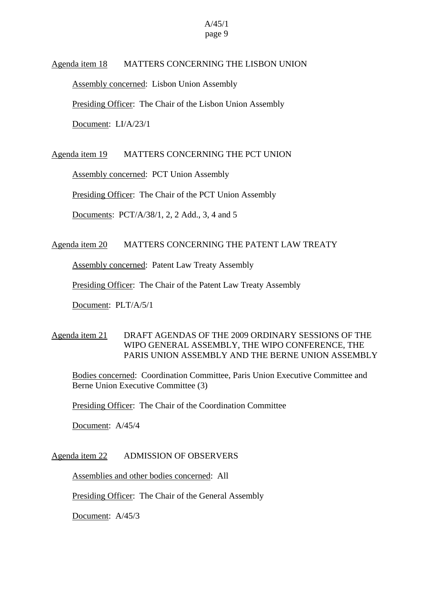#### Agenda item 18 MATTERS CONCERNING THE LISBON UNION

Assembly concerned: Lisbon Union Assembly

Presiding Officer: The Chair of the Lisbon Union Assembly

Document: LI/A/23/1

Agenda item 19 MATTERS CONCERNING THE PCT UNION

Assembly concerned: PCT Union Assembly

Presiding Officer: The Chair of the PCT Union Assembly

Documents: PCT/A/38/1, 2, 2 Add., 3, 4 and 5

## Agenda item 20 MATTERS CONCERNING THE PATENT LAW TREATY

Assembly concerned: Patent Law Treaty Assembly

Presiding Officer: The Chair of the Patent Law Treaty Assembly

Document: PLT/A/5/1

## Agenda item 21 DRAFT AGENDAS OF THE 2009 ORDINARY SESSIONS OF THE WIPO GENERAL ASSEMBLY, THE WIPO CONFERENCE, THE PARIS UNION ASSEMBLY AND THE BERNE UNION ASSEMBLY

Bodies concerned: Coordination Committee, Paris Union Executive Committee and Berne Union Executive Committee (3)

Presiding Officer: The Chair of the Coordination Committee

Document: A/45/4

Agenda item 22 ADMISSION OF OBSERVERS

Assemblies and other bodies concerned: All

Presiding Officer: The Chair of the General Assembly

Document: A/45/3